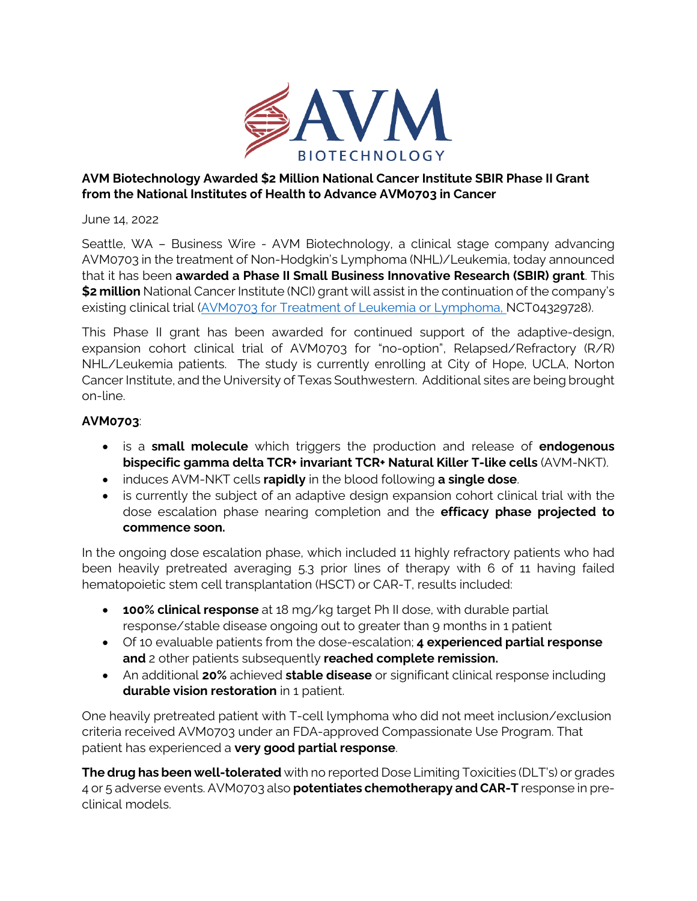

## **AVM Biotechnology Awarded \$2 Million National Cancer Institute SBIR Phase II Grant from the National Institutes of Health to Advance AVM0703 in Cancer**

June 14, 2022

Seattle, WA – Business Wire - AVM Biotechnology, a clinical stage company advancing AVM0703 in the treatment of Non-Hodgkin's Lymphoma (NHL)/Leukemia, today announced that it has been **awarded a Phase II Small Business Innovative Research (SBIR) grant**. This **\$2 million** National Cancer Institute (NCI) grant will assist in the continuation of the company's existing clinical trial [\(AVM0703 for Treatment of Leukemia or Lymphoma,](https://clinicaltrials.gov/ct2/show/NCT04329728?term=AVM0703&draw=1&rank=2) NCT04329728).

This Phase II grant has been awarded for continued support of the adaptive-design, expansion cohort clinical trial of AVM0703 for "no-option", Relapsed/Refractory (R/R) NHL/Leukemia patients. The study is currently enrolling at City of Hope, UCLA, Norton Cancer Institute, and the University of Texas Southwestern. Additional sites are being brought on-line.

## **AVM0703**:

- is a **small molecule** which triggers the production and release of **endogenous bispecific gamma delta TCR+ invariant TCR+ Natural Killer T-like cells** (AVM-NKT).
- induces AVM-NKT cells **rapidly** in the blood following **a single dose**.
- is currently the subject of an adaptive design expansion cohort clinical trial with the dose escalation phase nearing completion and the **efficacy phase projected to commence soon.**

In the ongoing dose escalation phase, which included 11 highly refractory patients who had been heavily pretreated averaging 5.3 prior lines of therapy with 6 of 11 having failed hematopoietic stem cell transplantation (HSCT) or CAR-T, results included:

- **100% clinical response** at 18 mg/kg target Ph II dose, with durable partial response/stable disease ongoing out to greater than 9 months in 1 patient
- Of 10 evaluable patients from the dose-escalation; **4 experienced partial response and** 2 other patients subsequently **reached complete remission.**
- An additional **20%** achieved **stable disease** or significant clinical response including **durable vision restoration** in 1 patient.

One heavily pretreated patient with T-cell lymphoma who did not meet inclusion/exclusion criteria received AVM0703 under an FDA-approved Compassionate Use Program. That patient has experienced a **very good partial response**.

**The drug has been well-tolerated** with no reported Dose Limiting Toxicities (DLT's) or grades 4 or 5 adverse events. AVM0703 also **potentiates chemotherapy and CAR-T** response in preclinical models.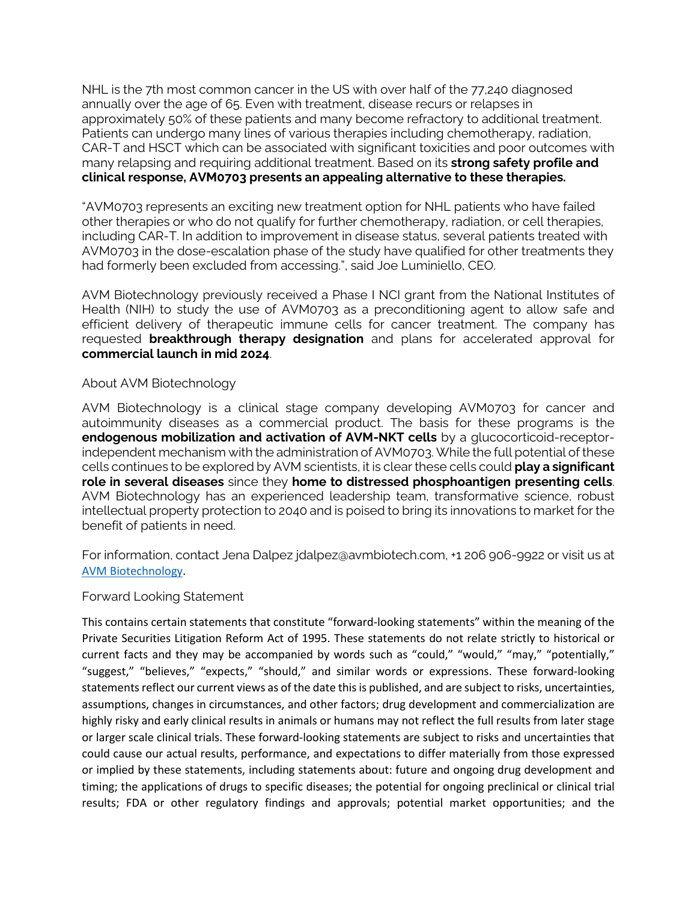NHL is the 7th most common cancer in the US with over half of the 77,240 diagnosed annually over the age of 65. Even with treatment, disease recurs or relapses in approximately 50% of these patients and many become refractory to additional treatment. Patients can undergo many lines of various therapies including chemotherapy, radiation, CAR-T and HSCT which can be associated with significant toxicities and poor outcomes with many relapsing and requiring additional treatment. Based on its **strong safety profile and clinical response, AVM0703 presents an appealing alternative to these therapies.** 

"AVM0703 represents an exciting new treatment option for NHL patients who have failed other therapies or who do not qualify for further chemotherapy, radiation, or cell therapies, including CAR-T. In addition to improvement in disease status, several patients treated with AVM0703 in the dose-escalation phase of the study have qualified for other treatments they had formerly been excluded from accessing.", said Joe Luminiello, CEO.

AVM Biotechnology previously received a Phase I NCI grant from the National Institutes of Health (NIH) to study the use of AVM0703 as a preconditioning agent to allow safe and efficient delivery of therapeutic immune cells for cancer treatment. The company has requested **breakthrough therapy designation** and plans for accelerated approval for **commercial launch in mid 2024**.

## About AVM Biotechnology

AVM Biotechnology is a clinical stage company developing AVM0703 for cancer and autoimmunity diseases as a commercial product. The basis for these programs is the **endogenous mobilization and activation of AVM-NKT cells** by a glucocorticoid-receptorindependent mechanism with the administration of AVM0703. While the full potential of these cells continues to be explored by AVM scientists, it is clear these cells could **play a significant role in several diseases** since they **home to distressed phosphoantigen presenting cells**. AVM Biotechnology has an experienced leadership team, transformative science, robust intellectual property protection to 2040 and is poised to bring its innovations to market for the benefit of patients in need.

For information, contact Jena Dalpez [jdalpez@avmbiotech.com,](mailto:jdalpez@avmbiotech.com) +1 206 906-9922 or visit us at [AVM Biotechnology.](https://avmbiotech.com/)

## Forward Looking Statement

This contains certain statements that constitute "forward-looking statements" within the meaning of the Private Securities Litigation Reform Act of 1995. These statements do not relate strictly to historical or current facts and they may be accompanied by words such as "could," "would," "may," "potentially," "suggest," "believes," "expects," "should," and similar words or expressions. These forward-looking statements reflect our current views as of the date this is published, and are subject to risks, uncertainties, assumptions, changes in circumstances, and other factors; drug development and commercialization are highly risky and early clinical results in animals or humans may not reflect the full results from later stage or larger scale clinical trials. These forward-looking statements are subject to risks and uncertainties that could cause our actual results, performance, and expectations to differ materially from those expressed or implied by these statements, including statements about: future and ongoing drug development and timing; the applications of drugs to specific diseases; the potential for ongoing preclinical or clinical trial results; FDA or other regulatory findings and approvals; potential market opportunities; and the